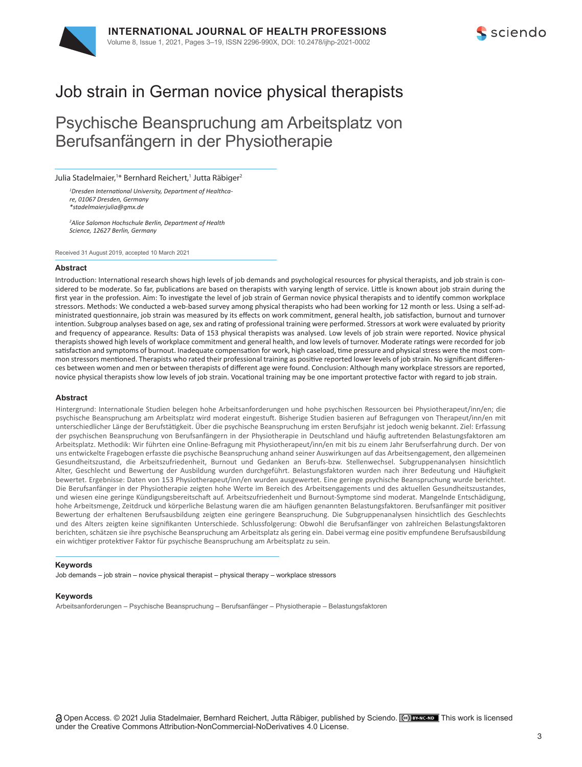

# Job strain in German novice physical therapists

# Psychische Beanspruchung am Arbeitsplatz von Berufsanfängern in der Physiotherapie

Julia Stadelmaier,<sup>1\*</sup> Bernhard Reichert,<sup>1</sup> Jutta Räbiger<sup>2</sup>

*1 Dresden International University, Department of Healthcare, 01067 Dresden, Germany \*stadelmaierjulia@gmx.de*

*2 Alice Salomon Hochschule Berlin, Department of Health Science, 12627 Berlin, Germany*

Received 31 August 2019, accepted 10 March 2021

#### **Abstract**

Introduction: International research shows high levels of job demands and psychological resources for physical therapists, and job strain is considered to be moderate. So far, publications are based on therapists with varying length of service. Little is known about job strain during the first year in the profession. Aim: To investigate the level of job strain of German novice physical therapists and to identify common workplace stressors. Methods: We conducted a web-based survey among physical therapists who had been working for 12 month or less. Using a self-administrated questionnaire, job strain was measured by its effects on work commitment, general health, job satisfaction, burnout and turnover intention. Subgroup analyses based on age, sex and rating of professional training were performed. Stressors at work were evaluated by priority and frequency of appearance. Results: Data of 153 physical therapists was analysed. Low levels of job strain were reported. Novice physical therapists showed high levels of workplace commitment and general health, and low levels of turnover. Moderate ratings were recorded for job satisfaction and symptoms of burnout. Inadequate compensation for work, high caseload, time pressure and physical stress were the most common stressors mentioned. Therapists who rated their professional training as positive reported lower levels of job strain. No significant differences between women and men or between therapists of different age were found. Conclusion: Although many workplace stressors are reported, novice physical therapists show low levels of job strain. Vocational training may be one important protective factor with regard to job strain.

#### **Abstract**

Hintergrund: Internationale Studien belegen hohe Arbeitsanforderungen und hohe psychischen Ressourcen bei Physiotherapeut/inn/en; die psychische Beanspruchung am Arbeitsplatz wird moderat eingestuft. Bisherige Studien basieren auf Befragungen von Therapeut/inn/en mit unterschiedlicher Länge der Berufstätigkeit. Über die psychische Beanspruchung im ersten Berufsjahr ist jedoch wenig bekannt. Ziel: Erfassung der psychischen Beanspruchung von Berufsanfängern in der Physiotherapie in Deutschland und häufig auftretenden Belastungsfaktoren am Arbeitsplatz. Methodik: Wir führten eine Online-Befragung mit Physiotherapeut/inn/en mit bis zu einem Jahr Berufserfahrung durch. Der von uns entwickelte Fragebogen erfasste die psychische Beanspruchung anhand seiner Auswirkungen auf das Arbeitsengagement, den allgemeinen Gesundheitszustand, die Arbeitszufriedenheit, Burnout und Gedanken an Berufs-bzw. Stellenwechsel. Subgruppenanalysen hinsichtlich Alter, Geschlecht und Bewertung der Ausbildung wurden durchgeführt. Belastungsfaktoren wurden nach ihrer Bedeutung und Häufigkeit bewertet. Ergebnisse: Daten von 153 Physiotherapeut/inn/en wurden ausgewertet. Eine geringe psychische Beanspruchung wurde berichtet. Die Berufsanfänger in der Physiotherapie zeigten hohe Werte im Bereich des Arbeitsengagements und des aktuellen Gesundheitszustandes, und wiesen eine geringe Kündigungsbereitschaft auf. Arbeitszufriedenheit und Burnout-Symptome sind moderat. Mangelnde Entschädigung, hohe Arbeitsmenge, Zeitdruck und körperliche Belastung waren die am häufigen genannten Belastungsfaktoren. Berufsanfänger mit positiver Bewertung der erhaltenen Berufsausbildung zeigten eine geringere Beanspruchung. Die Subgruppenanalysen hinsichtlich des Geschlechts und des Alters zeigten keine signifikanten Unterschiede. Schlussfolgerung: Obwohl die Berufsanfänger von zahlreichen Belastungsfaktoren berichten, schätzen sie ihre psychische Beanspruchung am Arbeitsplatz als gering ein. Dabei vermag eine positiv empfundene Berufsausbildung ein wichtiger protektiver Faktor für psychische Beanspruchung am Arbeitsplatz zu sein.

#### **Keywords**

Job demands – job strain – novice physical therapist – physical therapy – workplace stressors

#### **Keywords**

Arbeitsanforderungen – Psychische Beanspruchung – Berufsanfänger – Physiotherapie – Belastungsfaktoren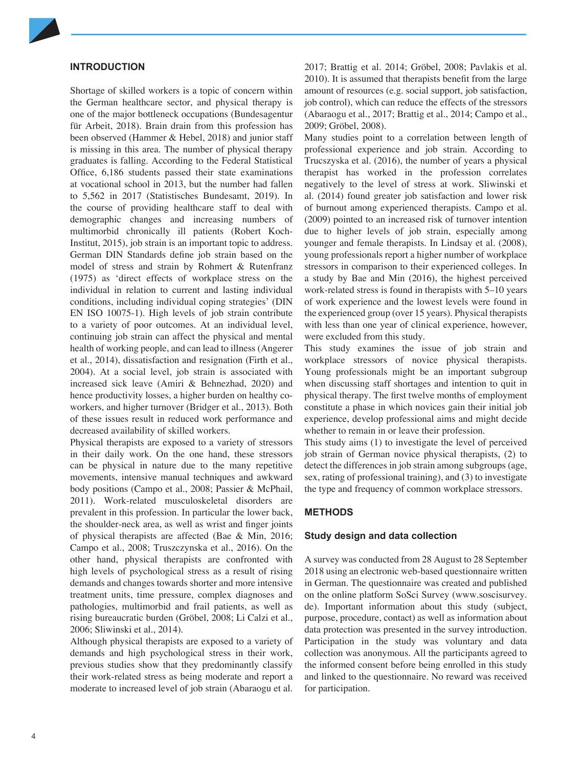

# **INTRODUCTION**

Shortage of skilled workers is a topic of concern within the German healthcare sector, and physical therapy is one of the major bottleneck occupations (Bundesagentur für Arbeit, 2018). Brain drain from this profession has been observed (Hammer & Hebel, 2018) and junior staff is missing in this area. The number of physical therapy graduates is falling. According to the Federal Statistical Office, 6,186 students passed their state examinations at vocational school in 2013, but the number had fallen to 5,562 in 2017 (Statistisches Bundesamt, 2019). In the course of providing healthcare staff to deal with demographic changes and increasing numbers of multimorbid chronically ill patients (Robert Koch-Institut, 2015), job strain is an important topic to address. German DIN Standards define job strain based on the model of stress and strain by Rohmert & Rutenfranz (1975) as 'direct effects of workplace stress on the individual in relation to current and lasting individual conditions, including individual coping strategies' (DIN EN ISO 10075-1). High levels of job strain contribute to a variety of poor outcomes. At an individual level, continuing job strain can affect the physical and mental health of working people, and can lead to illness (Angerer et al., 2014), dissatisfaction and resignation (Firth et al., 2004). At a social level, job strain is associated with increased sick leave (Amiri & Behnezhad, 2020) and hence productivity losses, a higher burden on healthy coworkers, and higher turnover (Bridger et al., 2013). Both of these issues result in reduced work performance and decreased availability of skilled workers.

Physical therapists are exposed to a variety of stressors in their daily work. On the one hand, these stressors can be physical in nature due to the many repetitive movements, intensive manual techniques and awkward body positions (Campo et al., 2008; Passier & McPhail, 2011). Work-related musculoskeletal disorders are prevalent in this profession. In particular the lower back, the shoulder-neck area, as well as wrist and finger joints of physical therapists are affected (Bae & Min, 2016; Campo et al., 2008; Truszczynska et al., 2016). On the other hand, physical therapists are confronted with high levels of psychological stress as a result of rising demands and changes towards shorter and more intensive treatment units, time pressure, complex diagnoses and pathologies, multimorbid and frail patients, as well as rising bureaucratic burden (Gröbel, 2008; Li Calzi et al., 2006; Sliwinski et al., 2014).

Although physical therapists are exposed to a variety of demands and high psychological stress in their work, previous studies show that they predominantly classify their work-related stress as being moderate and report a moderate to increased level of job strain (Abaraogu et al. 2017; Brattig et al. 2014; Gröbel, 2008; Pavlakis et al. 2010). It is assumed that therapists benefit from the large amount of resources (e.g. social support, job satisfaction, job control), which can reduce the effects of the stressors (Abaraogu et al., 2017; Brattig et al., 2014; Campo et al., 2009; Gröbel, 2008).

Many studies point to a correlation between length of professional experience and job strain. According to Trucszyska et al. (2016), the number of years a physical therapist has worked in the profession correlates negatively to the level of stress at work. Sliwinski et al. (2014) found greater job satisfaction and lower risk of burnout among experienced therapists. Campo et al. (2009) pointed to an increased risk of turnover intention due to higher levels of job strain, especially among younger and female therapists. In Lindsay et al. (2008), young professionals report a higher number of workplace stressors in comparison to their experienced colleges. In a study by Bae and Min (2016), the highest perceived work-related stress is found in therapists with 5–10 years of work experience and the lowest levels were found in the experienced group (over 15 years). Physical therapists with less than one year of clinical experience, however, were excluded from this study.

This study examines the issue of job strain and workplace stressors of novice physical therapists. Young professionals might be an important subgroup when discussing staff shortages and intention to quit in physical therapy. The first twelve months of employment constitute a phase in which novices gain their initial job experience, develop professional aims and might decide whether to remain in or leave their profession.

This study aims (1) to investigate the level of perceived job strain of German novice physical therapists, (2) to detect the differences in job strain among subgroups (age, sex, rating of professional training), and (3) to investigate the type and frequency of common workplace stressors.

# **METHODS**

# **Study design and data collection**

A survey was conducted from 28 August to 28 September 2018 using an electronic web-based questionnaire written in German. The questionnaire was created and published on the online platform SoSci Survey (www.soscisurvey. de). Important information about this study (subject, purpose, procedure, contact) as well as information about data protection was presented in the survey introduction. Participation in the study was voluntary and data collection was anonymous. All the participants agreed to the informed consent before being enrolled in this study and linked to the questionnaire. No reward was received for participation.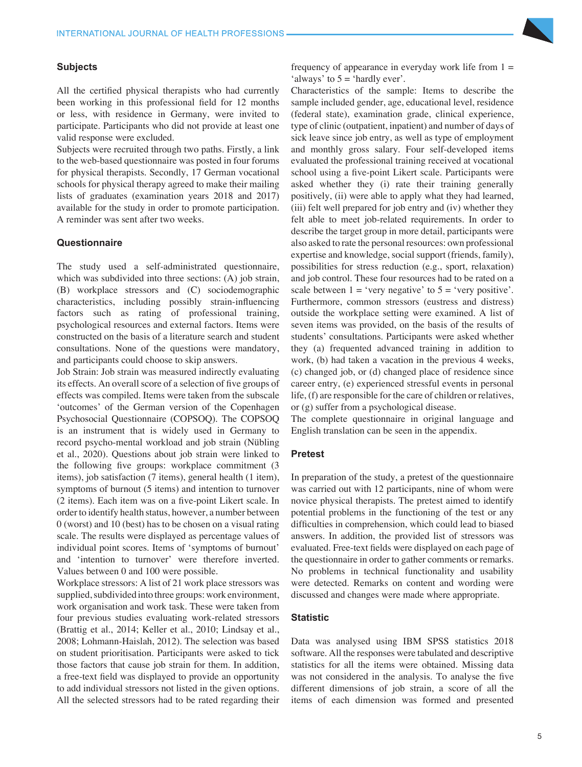## **Subjects**

All the certified physical therapists who had currently been working in this professional field for 12 months or less, with residence in Germany, were invited to participate. Participants who did not provide at least one valid response were excluded.

Subjects were recruited through two paths. Firstly, a link to the web-based questionnaire was posted in four forums for physical therapists. Secondly, 17 German vocational schools for physical therapy agreed to make their mailing lists of graduates (examination years 2018 and 2017) available for the study in order to promote participation. A reminder was sent after two weeks.

#### **Questionnaire**

The study used a self-administrated questionnaire, which was subdivided into three sections: (A) job strain, (B) workplace stressors and (C) sociodemographic characteristics, including possibly strain-influencing factors such as rating of professional training, psychological resources and external factors. Items were constructed on the basis of a literature search and student consultations. None of the questions were mandatory, and participants could choose to skip answers.

Job Strain: Job strain was measured indirectly evaluating its effects. An overall score of a selection of five groups of effects was compiled. Items were taken from the subscale 'outcomes' of the German version of the Copenhagen Psychosocial Questionnaire (COPSOQ). The COPSOQ is an instrument that is widely used in Germany to record psycho-mental workload and job strain (Nübling et al., 2020). Questions about job strain were linked to the following five groups: workplace commitment (3 items), job satisfaction (7 items), general health (1 item), symptoms of burnout (5 items) and intention to turnover (2 items). Each item was on a five-point Likert scale. In order to identify health status, however, a number between 0 (worst) and 10 (best) has to be chosen on a visual rating scale. The results were displayed as percentage values of individual point scores. Items of 'symptoms of burnout' and 'intention to turnover' were therefore inverted. Values between 0 and 100 were possible.

Workplace stressors: A list of 21 work place stressors was supplied, subdivided into three groups: work environment, work organisation and work task. These were taken from four previous studies evaluating work-related stressors (Brattig et al., 2014; Keller et al., 2010; Lindsay et al., 2008; Lohmann-Haislah, 2012). The selection was based on student prioritisation. Participants were asked to tick those factors that cause job strain for them. In addition, a free-text field was displayed to provide an opportunity to add individual stressors not listed in the given options. All the selected stressors had to be rated regarding their

frequency of appearance in everyday work life from  $1 =$ 'always' to  $5 =$  'hardly ever'.

Characteristics of the sample: Items to describe the sample included gender, age, educational level, residence (federal state), examination grade, clinical experience, type of clinic (outpatient, inpatient) and number of days of sick leave since job entry, as well as type of employment and monthly gross salary. Four self-developed items evaluated the professional training received at vocational school using a five-point Likert scale. Participants were asked whether they (i) rate their training generally positively, (ii) were able to apply what they had learned, (iii) felt well prepared for job entry and (iv) whether they felt able to meet job-related requirements. In order to describe the target group in more detail, participants were also asked to rate the personal resources: own professional expertise and knowledge, social support (friends, family), possibilities for stress reduction (e.g., sport, relaxation) and job control. These four resources had to be rated on a scale between  $1 = 'very negative'$  to  $5 = 'very positive'.$ Furthermore, common stressors (eustress and distress) outside the workplace setting were examined. A list of seven items was provided, on the basis of the results of students' consultations. Participants were asked whether they (a) frequented advanced training in addition to work, (b) had taken a vacation in the previous 4 weeks, (c) changed job, or (d) changed place of residence since career entry, (e) experienced stressful events in personal life, (f) are responsible for the care of children or relatives, or (g) suffer from a psychological disease.

The complete questionnaire in original language and English translation can be seen in the appendix.

## **Pretest**

In preparation of the study, a pretest of the questionnaire was carried out with 12 participants, nine of whom were novice physical therapists. The pretest aimed to identify potential problems in the functioning of the test or any difficulties in comprehension, which could lead to biased answers. In addition, the provided list of stressors was evaluated. Free-text fields were displayed on each page of the questionnaire in order to gather comments or remarks. No problems in technical functionality and usability were detected. Remarks on content and wording were discussed and changes were made where appropriate.

## **Statistic**

Data was analysed using IBM SPSS statistics 2018 software. All the responses were tabulated and descriptive statistics for all the items were obtained. Missing data was not considered in the analysis. To analyse the five different dimensions of job strain, a score of all the items of each dimension was formed and presented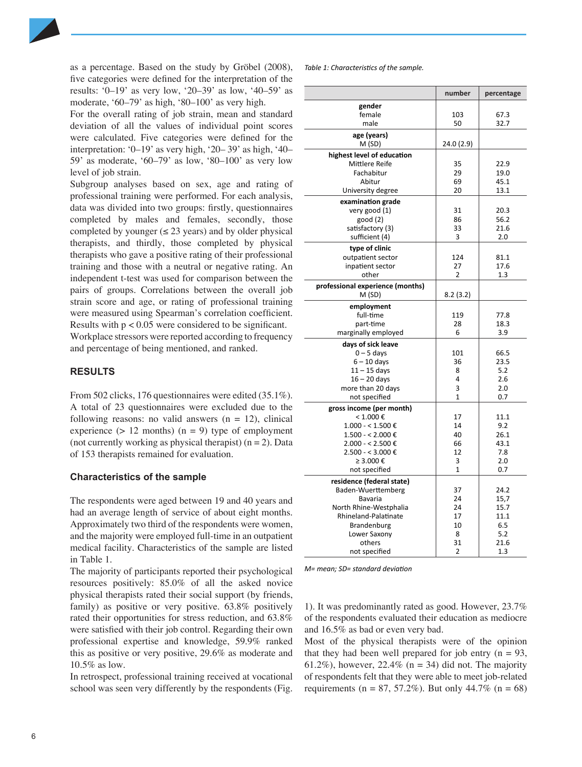

as a percentage. Based on the study by Gröbel (2008), five categories were defined for the interpretation of the results: '0–19' as very low, '20–39' as low, '40–59' as moderate, '60–79' as high, '80–100' as very high.

For the overall rating of job strain, mean and standard deviation of all the values of individual point scores were calculated. Five categories were defined for the interpretation: '0–19' as very high, '20– 39' as high, '40– 59' as moderate, '60–79' as low, '80–100' as very low level of job strain.

Subgroup analyses based on sex, age and rating of professional training were performed. For each analysis, data was divided into two groups: firstly, questionnaires completed by males and females, secondly, those completed by younger ( $\leq$  23 years) and by older physical therapists, and thirdly, those completed by physical therapists who gave a positive rating of their professional training and those with a neutral or negative rating. An independent t-test was used for comparison between the pairs of groups. Correlations between the overall job strain score and age, or rating of professional training were measured using Spearman's correlation coefficient. Results with  $p < 0.05$  were considered to be significant. Workplace stressors were reported according to frequency and percentage of being mentioned, and ranked.

# **RESULTS**

From 502 clicks, 176 questionnaires were edited (35.1%). A total of 23 questionnaires were excluded due to the following reasons: no valid answers  $(n = 12)$ , clinical experience ( $> 12$  months) ( $n = 9$ ) type of employment (not currently working as physical therapist)  $(n = 2)$ . Data of 153 therapists remained for evaluation.

#### **Characteristics of the sample**

The respondents were aged between 19 and 40 years and had an average length of service of about eight months. Approximately two third of the respondents were women, and the majority were employed full-time in an outpatient medical facility. Characteristics of the sample are listed in Table 1.

The majority of participants reported their psychological resources positively: 85.0% of all the asked novice physical therapists rated their social support (by friends, family) as positive or very positive. 63.8% positively rated their opportunities for stress reduction, and 63.8% were satisfied with their job control. Regarding their own professional expertise and knowledge, 59.9% ranked this as positive or very positive, 29.6% as moderate and 10.5% as low.

In retrospect, professional training received at vocational school was seen very differently by the respondents (Fig. *Table 1: Characteristics of the sample.*

|                                           | number         | percentage   |
|-------------------------------------------|----------------|--------------|
| gender                                    |                |              |
| female                                    | 103            | 67.3         |
| male                                      | 50             | 32.7         |
| age (years)                               |                |              |
| M (SD)                                    | 24.0 (2.9)     |              |
| highest level of education                |                |              |
| Mittlere Reife                            | 35             | 22.9         |
| Fachabitur                                | 29             | 19.0         |
| Abitur                                    | 69             | 45.1         |
| University degree                         | 20             | 13.1         |
| examination grade                         |                |              |
| very good (1)                             | 31             | 20.3         |
| good (2)                                  | 86             | 56.2         |
| satisfactory (3)<br>sufficient (4)        | 33<br>3        | 21.6<br>2.0  |
|                                           |                |              |
| type of clinic                            |                |              |
| outpatient sector<br>inpatient sector     | 124<br>27      | 81.1<br>17.6 |
| other                                     | $\overline{2}$ | 1.3          |
|                                           |                |              |
| professional experience (months)<br>M(SD) | 8.2(3.2)       |              |
|                                           |                |              |
| employment                                |                |              |
| full-time<br>part-time                    | 119<br>28      | 77.8<br>18.3 |
| marginally employed                       | 6              | 3.9          |
|                                           |                |              |
| days of sick leave<br>$0 - 5$ days        | 101            | 66.5         |
| $6 - 10$ days                             | 36             | 23.5         |
| $11 - 15$ days                            | 8              | 5.2          |
| $16 - 20$ days                            | 4              | 2.6          |
| more than 20 days                         | 3              | 2.0          |
| not specified                             | $\mathbf{1}$   | 0.7          |
| gross income (per month)                  |                |              |
| $< 1.000$ €                               | 17             | 11.1         |
| $1.000 - 1.500$ €                         | 14             | 9.2          |
| $1.500 - 2.000 \text{ } \in$              | 40             | 26.1         |
| $2.000 - 5.500$ €                         | 66             | 43.1         |
| $2.500 - 5.000$ €                         | 12             | 7.8          |
| ≥ 3.000 €                                 | 3              | 2.0          |
| not specified                             | $\mathbf{1}$   | 0.7          |
| residence (federal state)                 |                |              |
| Baden-Wuerttemberg                        | 37             | 24.2         |
| Bavaria                                   | 24             | 15,7         |
| North Rhine-Westphalia                    | 24             | 15.7         |
| Rhineland-Palatinate                      | 17<br>10       | 11.1<br>6.5  |
| Brandenburg<br>Lower Saxony               | 8              | 5.2          |
| others                                    | 31             | 21.6         |
| not specified                             | 2              | 1.3          |

*M= mean; SD= standard deviation*

1). It was predominantly rated as good. However, 23.7% of the respondents evaluated their education as mediocre and 16.5% as bad or even very bad.

Most of the physical therapists were of the opinion that they had been well prepared for job entry  $(n = 93,$ 61.2%), however, 22.4% ( $n = 34$ ) did not. The majority of respondents felt that they were able to meet job-related requirements (n = 87, 57.2%). But only 44.7% (n = 68)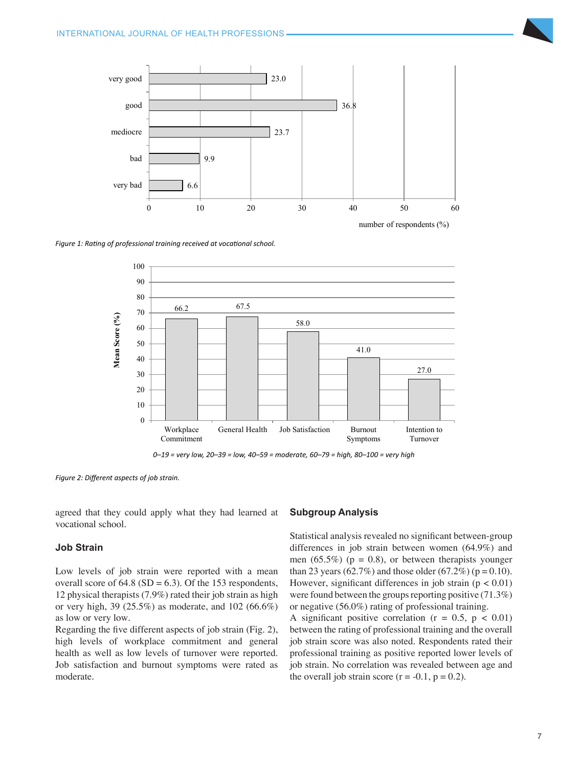

number of respondents (%)

*Figure 1: Rating of professional training received at vocational school.*



*0–19 = very low, 20–39 = low, 40–59 = moderate, 60–79 = high, 80–100 = very high*

0–19 = very low, 20–39 = low, 40–59 = moderate, 60–79 = high, 80–100 = very high *Figure 2: Different aspects of job strain.*

agreed that they could apply what they had learned at vocational school.

# **Job Strain**

Low levels of job strain were reported with a mean overall score of  $64.8$  (SD = 6.3). Of the 153 respondents, 12 physical therapists (7.9%) rated their job strain as high or very high, 39 (25.5%) as moderate, and 102 (66.6%) as low or very low.

Regarding the five different aspects of job strain (Fig. 2), high levels of workplace commitment and general health as well as low levels of turnover were reported. Job satisfaction and burnout symptoms were rated as moderate.

# **Subgroup Analysis**

Statistical analysis revealed no significant between-group differences in job strain between women (64.9%) and men (65.5%) ( $p = 0.8$ ), or between therapists younger than 23 years (62.7%) and those older (67.2%) ( $p = 0.10$ ). However, significant differences in job strain  $(p < 0.01)$ were found between the groups reporting positive (71.3%) or negative (56.0%) rating of professional training.

A significant positive correlation ( $r = 0.5$ ,  $p < 0.01$ ) between the rating of professional training and the overall job strain score was also noted. Respondents rated their professional training as positive reported lower levels of job strain. No correlation was revealed between age and the overall job strain score  $(r = -0.1, p = 0.2)$ .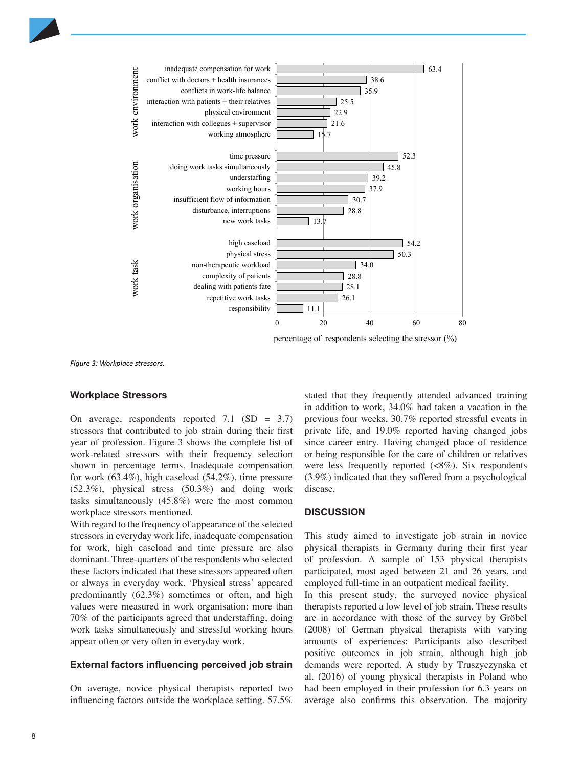

percentage of respondents selecting the stressor (%)

*Figure 3: Workplace stressors.*

# **Workplace Stressors**

On average, respondents reported 7.1  $(SD = 3.7)$ stressors that contributed to job strain during their first year of profession. Figure 3 shows the complete list of work-related stressors with their frequency selection shown in percentage terms. Inadequate compensation for work (63.4%), high caseload (54.2%), time pressure (52.3%), physical stress (50.3%) and doing work tasks simultaneously (45.8%) were the most common workplace stressors mentioned.

With regard to the frequency of appearance of the selected stressors in everyday work life, inadequate compensation for work, high caseload and time pressure are also dominant. Three-quarters of the respondents who selected these factors indicated that these stressors appeared often or always in everyday work. 'Physical stress' appeared predominantly (62.3%) sometimes or often, and high values were measured in work organisation: more than 70% of the participants agreed that understaffing, doing work tasks simultaneously and stressful working hours appear often or very often in everyday work.

#### **External factors influencing perceived job strain**

On average, novice physical therapists reported two influencing factors outside the workplace setting. 57.5% stated that they frequently attended advanced training in addition to work, 34.0% had taken a vacation in the previous four weeks, 30.7% reported stressful events in private life, and 19.0% reported having changed jobs since career entry. Having changed place of residence or being responsible for the care of children or relatives were less frequently reported (<8%). Six respondents (3.9%) indicated that they suffered from a psychological disease.

### **DISCUSSION**

This study aimed to investigate job strain in novice physical therapists in Germany during their first year of profession. A sample of 153 physical therapists participated, most aged between 21 and 26 years, and employed full-time in an outpatient medical facility.

In this present study, the surveyed novice physical therapists reported a low level of job strain. These results are in accordance with those of the survey by Gröbel (2008) of German physical therapists with varying amounts of experiences: Participants also described positive outcomes in job strain, although high job demands were reported. A study by Truszyczynska et al. (2016) of young physical therapists in Poland who had been employed in their profession for 6.3 years on average also confirms this observation. The majority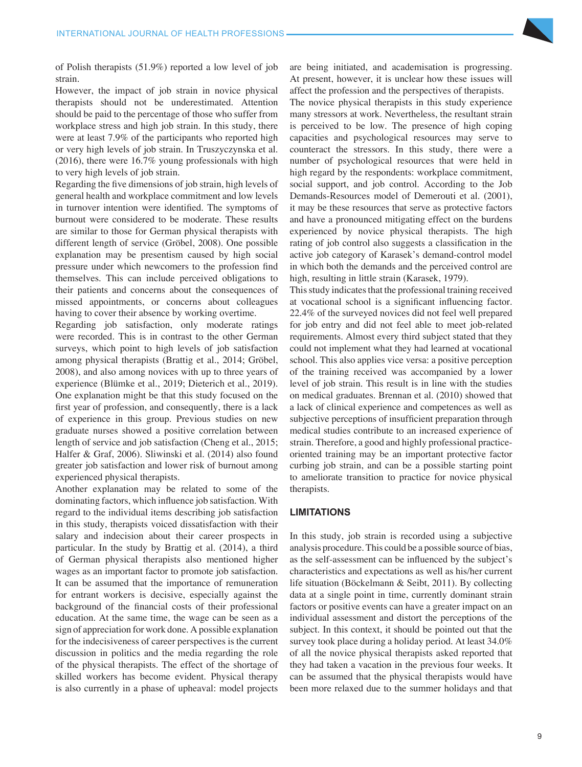

of Polish therapists (51.9%) reported a low level of job strain.

However, the impact of job strain in novice physical therapists should not be underestimated. Attention should be paid to the percentage of those who suffer from workplace stress and high job strain. In this study, there were at least 7.9% of the participants who reported high or very high levels of job strain. In Truszyczynska et al. (2016), there were 16.7% young professionals with high to very high levels of job strain.

Regarding the five dimensions of job strain, high levels of general health and workplace commitment and low levels in turnover intention were identified. The symptoms of burnout were considered to be moderate. These results are similar to those for German physical therapists with different length of service (Gröbel, 2008). One possible explanation may be presentism caused by high social pressure under which newcomers to the profession find themselves. This can include perceived obligations to their patients and concerns about the consequences of missed appointments, or concerns about colleagues having to cover their absence by working overtime.

Regarding job satisfaction, only moderate ratings were recorded. This is in contrast to the other German surveys, which point to high levels of job satisfaction among physical therapists (Brattig et al., 2014; Gröbel, 2008), and also among novices with up to three years of experience (Blümke et al., 2019; Dieterich et al., 2019). One explanation might be that this study focused on the first year of profession, and consequently, there is a lack of experience in this group. Previous studies on new graduate nurses showed a positive correlation between length of service and job satisfaction (Cheng et al., 2015; Halfer & Graf, 2006). Sliwinski et al. (2014) also found greater job satisfaction and lower risk of burnout among experienced physical therapists.

Another explanation may be related to some of the dominating factors, which influence job satisfaction. With regard to the individual items describing job satisfaction in this study, therapists voiced dissatisfaction with their salary and indecision about their career prospects in particular. In the study by Brattig et al. (2014), a third of German physical therapists also mentioned higher wages as an important factor to promote job satisfaction. It can be assumed that the importance of remuneration for entrant workers is decisive, especially against the background of the financial costs of their professional education. At the same time, the wage can be seen as a sign of appreciation for work done. A possible explanation for the indecisiveness of career perspectives is the current discussion in politics and the media regarding the role of the physical therapists. The effect of the shortage of skilled workers has become evident. Physical therapy is also currently in a phase of upheaval: model projects are being initiated, and academisation is progressing. At present, however, it is unclear how these issues will affect the profession and the perspectives of therapists.

The novice physical therapists in this study experience many stressors at work. Nevertheless, the resultant strain is perceived to be low. The presence of high coping capacities and psychological resources may serve to counteract the stressors. In this study, there were a number of psychological resources that were held in high regard by the respondents: workplace commitment, social support, and job control. According to the Job Demands-Resources model of Demerouti et al. (2001), it may be these resources that serve as protective factors and have a pronounced mitigating effect on the burdens experienced by novice physical therapists. The high rating of job control also suggests a classification in the active job category of Karasek's demand-control model in which both the demands and the perceived control are high, resulting in little strain (Karasek, 1979).

This study indicates that the professional training received at vocational school is a significant influencing factor. 22.4% of the surveyed novices did not feel well prepared for job entry and did not feel able to meet job-related requirements. Almost every third subject stated that they could not implement what they had learned at vocational school. This also applies vice versa: a positive perception of the training received was accompanied by a lower level of job strain. This result is in line with the studies on medical graduates. Brennan et al. (2010) showed that a lack of clinical experience and competences as well as subjective perceptions of insufficient preparation through medical studies contribute to an increased experience of strain. Therefore, a good and highly professional practiceoriented training may be an important protective factor curbing job strain, and can be a possible starting point to ameliorate transition to practice for novice physical therapists.

# **LIMITATIONS**

In this study, job strain is recorded using a subjective analysis procedure. This could be a possible source of bias, as the self-assessment can be influenced by the subject's characteristics and expectations as well as his/her current life situation (Böckelmann & Seibt, 2011). By collecting data at a single point in time, currently dominant strain factors or positive events can have a greater impact on an individual assessment and distort the perceptions of the subject. In this context, it should be pointed out that the survey took place during a holiday period. At least 34.0% of all the novice physical therapists asked reported that they had taken a vacation in the previous four weeks. It can be assumed that the physical therapists would have been more relaxed due to the summer holidays and that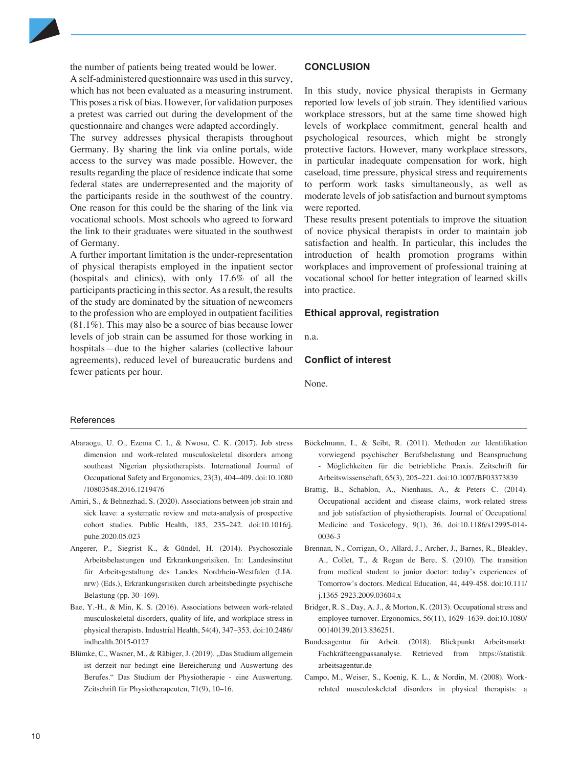the number of patients being treated would be lower.

A self-administered questionnaire was used in this survey, which has not been evaluated as a measuring instrument. This poses a risk of bias. However, for validation purposes a pretest was carried out during the development of the questionnaire and changes were adapted accordingly.

The survey addresses physical therapists throughout Germany. By sharing the link via online portals, wide access to the survey was made possible. However, the results regarding the place of residence indicate that some federal states are underrepresented and the majority of the participants reside in the southwest of the country. One reason for this could be the sharing of the link via vocational schools. Most schools who agreed to forward the link to their graduates were situated in the southwest of Germany.

A further important limitation is the under-representation of physical therapists employed in the inpatient sector (hospitals and clinics), with only 17.6% of all the participants practicing in this sector. As a result, the results of the study are dominated by the situation of newcomers to the profession who are employed in outpatient facilities (81.1%). This may also be a source of bias because lower levels of job strain can be assumed for those working in hospitals—due to the higher salaries (collective labour agreements), reduced level of bureaucratic burdens and fewer patients per hour.

### **CONCLUSION**

In this study, novice physical therapists in Germany reported low levels of job strain. They identified various workplace stressors, but at the same time showed high levels of workplace commitment, general health and psychological resources, which might be strongly protective factors. However, many workplace stressors, in particular inadequate compensation for work, high caseload, time pressure, physical stress and requirements to perform work tasks simultaneously, as well as moderate levels of job satisfaction and burnout symptoms were reported.

These results present potentials to improve the situation of novice physical therapists in order to maintain job satisfaction and health. In particular, this includes the introduction of health promotion programs within workplaces and improvement of professional training at vocational school for better integration of learned skills into practice.

#### **Ethical approval, registration**

n.a.

# **Conflict of interest**

None.

#### References

- Abaraogu, U. O., Ezema C. I., & Nwosu, C. K. (2017). Job stress dimension and work-related musculoskeletal disorders among southeast Nigerian physiotherapists. International Journal of Occupational Safety and Ergonomics, 23(3), 404–409. doi:10.1080 /10803548.2016.1219476
- Amiri, S., & Behnezhad, S. (2020). Associations between job strain and sick leave: a systematic review and meta-analysis of prospective cohort studies. Public Health, 185, 235–242. doi:10.1016/j. puhe.2020.05.023
- Angerer, P., Siegrist K., & Gündel, H. (2014). Psychosoziale Arbeitsbelastungen und Erkrankungsrisiken. In: Landesinstitut für Arbeitsgestaltung des Landes Nordrhein-Westfalen (LIA. nrw) (Eds.), Erkrankungsrisiken durch arbeitsbedingte psychische Belastung (pp. 30–169).
- Bae, Y.-H., & Min, K. S. (2016). Associations between work-related musculoskeletal disorders, quality of life, and workplace stress in physical therapists. Industrial Health, 54(4), 347–353. doi:10.2486/ indhealth.2015-0127
- Blümke, C., Wasner, M., & Räbiger, J. (2019). "Das Studium allgemein ist derzeit nur bedingt eine Bereicherung und Auswertung des Berufes." Das Studium der Physiotherapie - eine Auswertung. Zeitschrift für Physiotherapeuten, 71(9), 10–16.
- Böckelmann, I., & Seibt, R. (2011). Methoden zur Identifikation vorwiegend psychischer Berufsbelastung und Beanspruchung - Möglichkeiten für die betriebliche Praxis. Zeitschrift für Arbeitswissenschaft, 65(3), 205–221. doi:10.1007/BF03373839
- Brattig, B., Schablon, A., Nienhaus, A., & Peters C. (2014). Occupational accident and disease claims, work-related stress and job satisfaction of physiotherapists. Journal of Occupational Medicine and Toxicology, 9(1), 36. doi:[10.1186/s12995-014-](https://doi.org/10.1186/s12995-014-0036-3) [0036-3](https://doi.org/10.1186/s12995-014-0036-3)
- Brennan, N., Corrigan, O., Allard, J., Archer, J., Barnes, R., Bleakley, A., Collet, T., & Regan de Bere, S. (2010). The transition from medical student to junior doctor: today's experiences of Tomorrow's doctors. Medical Education, 44, 449-458. doi:10.111/ j.1365-2923.2009.03604.x
- Bridger, R. S., Day, A. J., & Morton, K. (2013). Occupational stress and employee turnover. Ergonomics, 56(11), 1629–1639. doi:10.1080/ 00140139.2013.836251.
- Bundesagentur für Arbeit. (2018). Blickpunkt Arbeitsmarkt: Fachkräfteengpassanalyse. Retrieved from https://statistik. arbeitsagentur.de
- Campo, M., Weiser, S., Koenig, K. L., & Nordin, M. (2008). Workrelated musculoskeletal disorders in physical therapists: a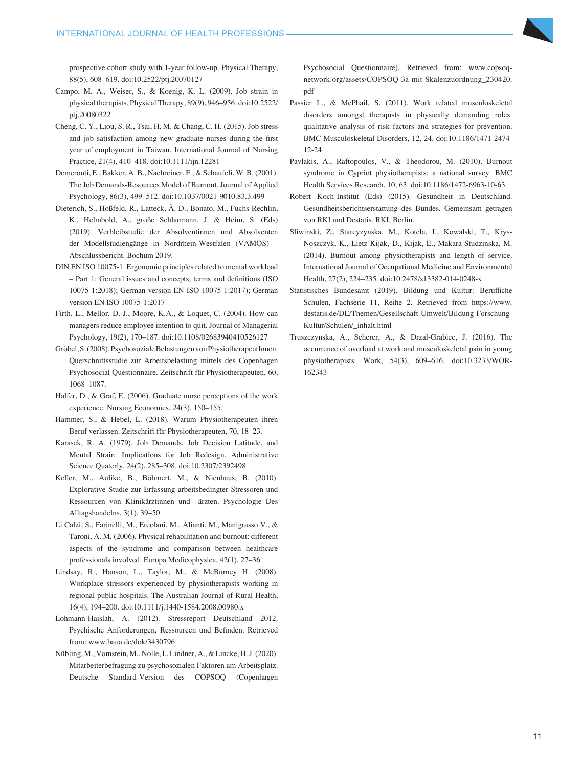prospective cohort study with 1-year follow-up. Physical Therapy, 88(5), 608–619. doi:10.2522/ptj.20070127

- Campo, M. A., Weiser, S., & Koenig, K. L. (2009). Job strain in physical therapists. Physical Therapy, 89(9), 946–956. doi:10.2522/ ptj.20080322
- Cheng, C. Y., Liou, S. R., Tsai, H. M. & Chang, C. H. (2015). Job stress and job satisfaction among new graduate nurses during the first year of employment in Taiwan. International Journal of Nursing Practice, 21(4), 410–418. doi:10.1111/ijn.12281
- Demerouti, E., Bakker, A. B., Nachreiner, F., & Schaufeli, W. B. (2001). The Job Demands-Resources Model of Burnout. Journal of Applied Psychology, 86(3), 499–512. doi:10.1037/0021-9010.83.3.499
- Dieterich, S., Hoßfeld, R., Latteck, Ä. D., Bonato, M., Fuchs-Rechlin, K., Helmbold, A., große Schlarmann, J. & Heim, S. (Eds) (2019). Verbleibstudie der Absolventinnen und Absolventen der Modellstudiengänge in Nordrhein-Westfalen (VAMOS) – Abschlussbericht. Bochum 2019.
- DIN EN ISO 10075-1. Ergonomic principles related to mental workload – Part 1: General issues and concepts, terms and definitions (ISO 10075-1:2018); German version EN ISO 10075-1:2017); German version EN ISO 10075-1:2017
- Firth, L., Mellor, D. J., Moore, K.A., & Loquet, C. (2004). How can managers reduce employee intention to quit. Journal of Managerial Psychology, 19(2), 170–187. doi:10.1108/02683940410526127
- Gröbel, S. (2008). Psychosoziale Belastungen von PhysiotherapeutInnen. Querschnittsstudie zur Arbeitsbelastung mittels des Copenhagen Psychosocial Questionnaire. Zeitschrift für Physiotherapeuten, 60, 1068–1087.
- Halfer, D., & Graf, E. (2006). Graduate nurse perceptions of the work experience. Nursing Economics, 24(3), 150–155.
- Hammer, S., & Hebel, L. (2018). Warum Physiotherapeuten ihren Beruf verlassen. Zeitschrift für Physiotherapeuten, 70, 18–23.
- Karasek, R. A. (1979). Job Demands, Job Decision Latitude, and Mental Strain: Implications for Job Redesign. Administrative Science Quaterly, 24(2), 285–308. doi:10.2307/2392498
- Keller, M., Aulike, B., Böhmert, M., & Nienhaus, B. (2010). Explorative Studie zur Erfassung arbeitsbedingter Stressoren und Ressourcen von Klinikärztinnen und –ärzten. Psychologie Des Alltagshandelns, 3(1), 39–50.
- Li Calzi, S., Farinelli, M., Ercolani, M., Alianti, M., Manigrasso V., & Taroni, A. M. (2006). Physical rehabilitation and burnout: different aspects of the syndrome and comparison between healthcare professionals involved. Europa Medicophysica, 42(1), 27–36.
- Lindsay, R., Hanson, L., Taylor, M., & McBurney H. (2008). Workplace stressors experienced by physiotherapists working in regional public hospitals. The Australian Journal of Rural Health, 16(4), 194–200. doi:10.1111/j.1440-1584.2008.00980.x
- Lohmann-Haislah, A. (2012). Stressreport Deutschland 2012. Psychische Anforderungen, Ressourcen und Befinden. Retrieved from: www.baua.de/dok/3430796
- Nübling, M., Vomstein, M., Nolle, I., Lindner, A., & Lincke, H. J. (2020). Mitarbeiterbefragung zu psychosozialen Faktoren am Arbeitsplatz. Deutsche Standard-Version des COPSOQ (Copenhagen

Psychosocial Questionnaire). Retrieved from: www.copsoqnetwork.org/assets/COPSOQ-3a-mit-Skalenzuordnung\_230420. pdf

- Passier L., & McPhail, S. (2011). Work related musculoskeletal disorders amongst therapists in physically demanding roles: qualitative analysis of risk factors and strategies for prevention. BMC Musculoskeletal Disorders, 12, 24. doi:10.1186/1471-2474- 12-24
- Pavlakis, A., Raftopoulos, V., & Theodorou, M. (2010). Burnout syndrome in Cypriot physiotherapists: a national survey. BMC Health Services Research, 10, 63. doi:10.1186/1472-6963-10-63
- Robert Koch-Institut (Eds) (2015). Gesundheit in Deutschland. Gesundheitsberichtserstattung des Bundes. Gemeinsam getragen von RKI und Destatis. RKI, Berlin.
- Sliwinski, Z., Starcyzynska, M., Kotela, I., Kowalski, T., Krys-Noszczyk, K., Lietz-Kijak, D., Kijak, E., Makara-Studzinska, M. (2014). Burnout among physiotherapists and length of service. International Journal of Occupational Medicine and Environmental Health, 27(2), 224–235. doi:[10.2478/s13382-014-0248-x](https://doi.org/10.2478/s13382-014-0248-x)
- Statistisches Bundesamt (2019). Bildung und Kultur: Berufliche Schulen, Fachserie 11, Reihe 2. Retrieved from https://www. destatis.de/DE/Themen/Gesellschaft-Umwelt/Bildung-Forschung-Kultur/Schulen/\_inhalt.html
- Truszczynska, A., Scherer, A., & Drzal-Grabiec, J. (2016). The occurrence of overload at work and musculoskeletal pain in young physiotherapists. Work, 54(3), 609–616. doi:10.3233/WOR-162343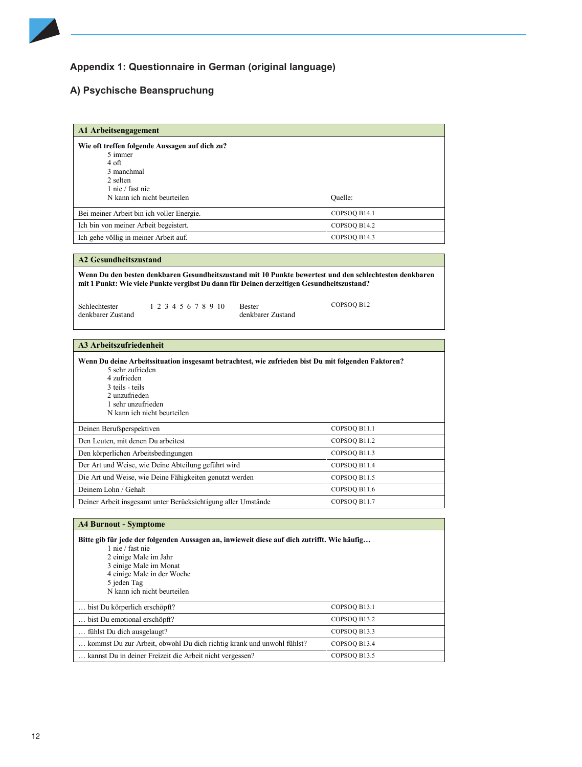# **Appendix 1: Questionnaire in German (original language)**

# **A) Psychische Beanspruchung**

| A1 Arbeitsengagement                                                                                                                                                                                                                                                                                                              |              |
|-----------------------------------------------------------------------------------------------------------------------------------------------------------------------------------------------------------------------------------------------------------------------------------------------------------------------------------|--------------|
| Wie oft treffen folgende Aussagen auf dich zu?<br>5 immer<br>4 oft<br>3 manchmal<br>2 selten<br>1 nie / fast nie                                                                                                                                                                                                                  |              |
| N kann ich nicht beurteilen                                                                                                                                                                                                                                                                                                       | Quelle:      |
| Bei meiner Arbeit bin ich voller Energie.                                                                                                                                                                                                                                                                                         | COPSOQ B14.1 |
| Ich bin von meiner Arbeit begeistert.                                                                                                                                                                                                                                                                                             | COPSOQ B14.2 |
| Ich gehe völlig in meiner Arbeit auf.                                                                                                                                                                                                                                                                                             | COPSOQ B14.3 |
|                                                                                                                                                                                                                                                                                                                                   |              |
| <b>A2 Gesundheitszustand</b><br>Wenn Du den besten denkbaren Gesundheitszustand mit 10 Punkte bewertest und den schlechtesten denkbaren<br>mit 1 Punkt: Wie viele Punkte vergibst Du dann für Deinen derzeitigen Gesundheitszustand?<br>1 2 3 4 5 6 7 8 9 10<br>Schlechtester<br>Bester<br>denkbarer Zustand<br>denkbarer Zustand | COPSOQ B12   |
| <b>A3 Arbeitszufriedenheit</b>                                                                                                                                                                                                                                                                                                    |              |
| 5 sehr zufrieden<br>4 zufrieden<br>3 teils - teils<br>2 unzufrieden<br>1 sehr unzufrieden<br>N kann ich nicht beurteilen                                                                                                                                                                                                          |              |
| Deinen Berufsperspektiven                                                                                                                                                                                                                                                                                                         | COPSOQ B11.1 |
| Den Leuten, mit denen Du arbeitest                                                                                                                                                                                                                                                                                                | COPSOQ B11.2 |
| Den körperlichen Arbeitsbedingungen                                                                                                                                                                                                                                                                                               | COPSOQ B11.3 |
| Der Art und Weise, wie Deine Abteilung geführt wird                                                                                                                                                                                                                                                                               | COPSOQ B11.4 |
| Die Art und Weise, wie Deine Fähigkeiten genutzt werden                                                                                                                                                                                                                                                                           | COPSOQ B11.5 |
| Deinem Lohn / Gehalt                                                                                                                                                                                                                                                                                                              | COPSOQ B11.6 |
| Deiner Arbeit insgesamt unter Berücksichtigung aller Umstände                                                                                                                                                                                                                                                                     | COPSOQ B11.7 |
| <b>A4 Burnout - Symptome</b>                                                                                                                                                                                                                                                                                                      |              |
| Bitte gib für jede der folgenden Aussagen an, inwieweit diese auf dich zutrifft. Wie häufig<br>1 nie / fast nie<br>2 einige Male im Jahr<br>3 einige Male im Monat<br>4 einige Male in der Woche<br>5 jeden Tag<br>N kann ich nicht beurteilen                                                                                    |              |
| bist Du körperlich erschöpft?                                                                                                                                                                                                                                                                                                     | COPSOQ B13.1 |
| bist Du emotional erschöpft?                                                                                                                                                                                                                                                                                                      | COPSOQ B13.2 |
| fühlst Du dich ausgelaugt?                                                                                                                                                                                                                                                                                                        | COPSOQ B13.3 |
| kommst Du zur Arbeit, obwohl Du dich richtig krank und unwohl fühlst?                                                                                                                                                                                                                                                             | COPSOQ B13.4 |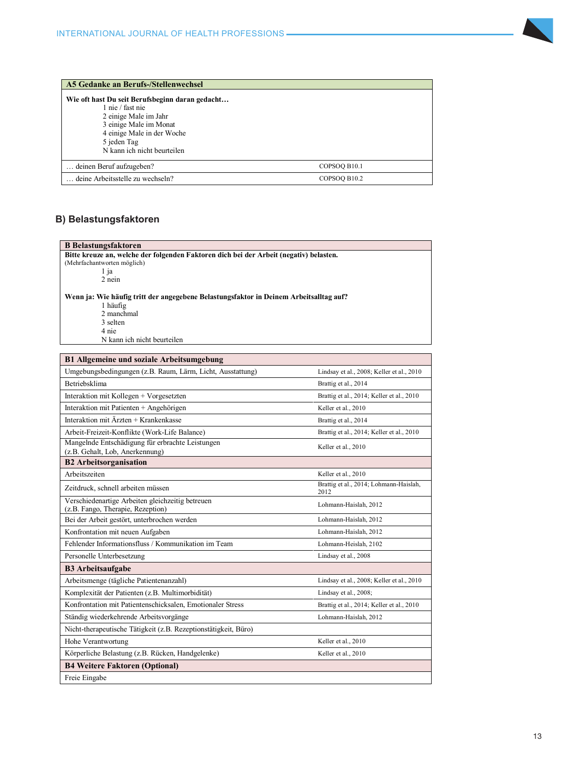

| A5 Gedanke an Berufs-/Stellenwechsel                                                                                                                                                               |              |  |
|----------------------------------------------------------------------------------------------------------------------------------------------------------------------------------------------------|--------------|--|
| Wie oft hast Du seit Berufsbeginn daran gedacht<br>1 nie / fast nie<br>2 einige Male im Jahr<br>3 einige Male im Monat<br>4 einige Male in der Woche<br>5 jeden Tag<br>N kann ich nicht beurteilen |              |  |
| deinen Beruf aufzugeben?                                                                                                                                                                           | COPSOQ B10.1 |  |
| deine Arbeitsstelle zu wechseln?                                                                                                                                                                   | COPSOQ B10.2 |  |

# **B Belastungsfaktoren B) Belastungsfaktoren**

8 Belastungsfaktoren <u>B Belastungsfaktoren</u><br>Bitte kreuze an, welche  $\mathbf{N}$ : Wie häufig tritt der angegebene Belastungsfaktor in Deinem Arbeitsalltag auf $\mathbf{N}$ 2 nein 'ie häuf l häu 2 manchmal **Bitte kreuze an, welche der folgenden Faktoren dich bei der Arbeit (negativ) belasten.**  (Mehrfachantworten möglich) 1 ja **Wenn ja: Wie häufig tritt der angegebene Belastungsfaktor in Deinem Arbeitsalltag auf?** 1 häufig 2 manchmal 3 selten 4 nie

**B1 Allgemeine und soziale Arbeitsumgebung** N kann ich nicht beurteilen Umgebungsbedingungen (z.B. Raum, Lärm, Licht, Ausstattung) Lindsay et al., 2008; Keller et al., 2010

| <b>B1 Allgemeine und soziale Arbeitsumgebung</b>                                      |                                                |
|---------------------------------------------------------------------------------------|------------------------------------------------|
| Umgebungsbedingungen (z.B. Raum, Lärm, Licht, Ausstattung)                            | Lindsay et al., 2008; Keller et al., 2010      |
| <b>Betriebsklima</b>                                                                  | Brattig et al., 2014                           |
| Interaktion mit Kollegen + Vorgesetzten                                               | Brattig et al., 2014; Keller et al., 2010      |
| Interaktion mit Patienten + Angehörigen                                               | Keller et al., 2010                            |
| Interaktion mit Ärzten + Krankenkasse                                                 | Brattig et al., 2014                           |
| Arbeit-Freizeit-Konflikte (Work-Life Balance)                                         | Brattig et al., 2014; Keller et al., 2010      |
| Mangelnde Entschädigung für erbrachte Leistungen<br>(z.B. Gehalt, Lob, Anerkennung)   | Keller et al., 2010                            |
| <b>B2</b> Arbeitsorganisation                                                         |                                                |
| Arbeitszeiten                                                                         | Keller et al., 2010                            |
| Zeitdruck, schnell arbeiten müssen                                                    | Brattig et al., 2014; Lohmann-Haislah,<br>2012 |
| Verschiedenartige Arbeiten gleichzeitig betreuen<br>(z.B. Fango, Therapie, Rezeption) | Lohmann-Haislah, 2012                          |
| Bei der Arbeit gestört, unterbrochen werden                                           | Lohmann-Haislah, 2012                          |
| Konfrontation mit neuen Aufgaben                                                      | Lohmann-Haislah, 2012                          |
| Fehlender Informationsfluss / Kommunikation im Team                                   | Lohmann-Heislah, 2102                          |
| Personelle Unterbesetzung                                                             | Lindsay et al., 2008                           |
| <b>B3</b> Arbeitsaufgabe                                                              |                                                |
| Arbeitsmenge (tägliche Patientenanzahl)                                               | Lindsay et al., 2008; Keller et al., 2010      |
| Komplexität der Patienten (z.B. Multimorbidität)                                      | Lindsay et al., 2008;                          |
| Konfrontation mit Patientenschicksalen, Emotionaler Stress                            | Brattig et al., 2014; Keller et al., 2010      |
| Ständig wiederkehrende Arbeitsvorgänge                                                | Lohmann-Haislah, 2012                          |
| Nicht-therapeutische Tätigkeit (z.B. Rezeptionstätigkeit, Büro)                       |                                                |
| Hohe Verantwortung                                                                    | Keller et al., 2010                            |
| Körperliche Belastung (z.B. Rücken, Handgelenke)                                      | Keller et al., 2010                            |
| <b>B4 Weitere Faktoren (Optional)</b>                                                 |                                                |
| Freie Eingabe                                                                         |                                                |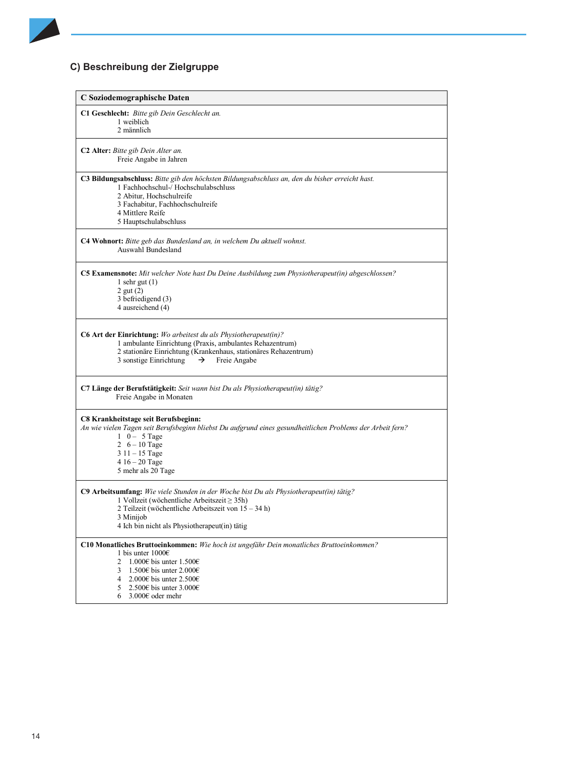# **C) Beschreibung der Zielgruppe C) Beschreibung der Zielgruppe**

| C Soziodemographische Daten                                                                                                                                                                                                                                                                                                 |
|-----------------------------------------------------------------------------------------------------------------------------------------------------------------------------------------------------------------------------------------------------------------------------------------------------------------------------|
| C1 Geschlecht: Bitte gib Dein Geschlecht an.<br>1 weiblich<br>2 männlich                                                                                                                                                                                                                                                    |
| C <sub>2</sub> Alter: Bitte gib Dein Alter an.<br>Freie Angabe in Jahren                                                                                                                                                                                                                                                    |
| C3 Bildungsabschluss: Bitte gib den höchsten Bildungsabschluss an, den du bisher erreicht hast.<br>1 Fachhochschul-/ Hochschulabschluss<br>2 Abitur, Hochschulreife<br>3 Fachabitur, Fachhochschulreife<br>4 Mittlere Reife<br>5 Hauptschulabschluss                                                                        |
| C4 Wohnort: Bitte geb das Bundesland an, in welchem Du aktuell wohnst.<br>Auswahl Bundesland                                                                                                                                                                                                                                |
| <b>C5 Examensnote:</b> Mit welcher Note hast Du Deine Ausbildung zum Physiotherapeut(in) abgeschlossen?<br>1 sehr gut $(1)$<br>$2$ gut $(2)$<br>3 befriedigend (3)<br>4 ausreichend (4)                                                                                                                                     |
| <b>C6 Art der Einrichtung:</b> Wo arbeitest du als Physiotherapeut(in)?<br>1 ambulante Einrichtung (Praxis, ambulantes Rehazentrum)<br>2 stationäre Einrichtung (Krankenhaus, stationäres Rehazentrum)<br>3 sonstige Einrichtung<br>Freie Angabe<br>→                                                                       |
| C7 Länge der Berufstätigkeit: Seit wann bist Du als Physiotherapeut(in) tätig?<br>Freie Angabe in Monaten                                                                                                                                                                                                                   |
| C8 Krankheitstage seit Berufsbeginn:<br>An wie vielen Tagen seit Berufsbeginn bliebst Du aufgrund eines gesundheitlichen Problems der Arbeit fern?<br>$1 \t 0 - 5$ Tage<br>2 $6 - 10$ Tage<br>$311 - 15$ Tage<br>$416 - 20$ Tage<br>5 mehr als 20 Tage                                                                      |
| <b>C9 Arbeitsumfang:</b> Wie viele Stunden in der Woche bist Du als Physiotherapeut(in) tätig?<br>1 Vollzeit (wöchentliche Arbeitszeit $\geq$ 35h)<br>2 Teilzeit (wöchentliche Arbeitszeit von 15 – 34 h)<br>3 Minijob<br>4 Ich bin nicht als Physiotherapeut(in) tätig                                                     |
| C10 Monatliches Bruttoeinkommen: Wie hoch ist ungefähr Dein monatliches Bruttoeinkommen?<br>1 bis unter $10006$<br>1.000 $\epsilon$ bis unter 1.500 $\epsilon$<br>2<br>1.500 $\epsilon$ bis unter 2.000 $\epsilon$<br>3<br>2.000€ bis unter 2.500€<br>4<br>2.500€ bis unter $3.000€$<br>5<br>$3.000\epsilon$ oder mehr<br>6 |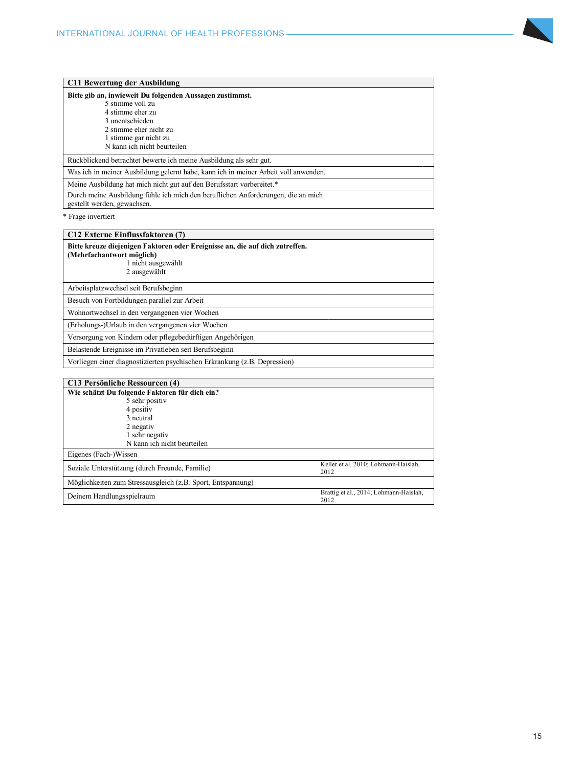

| C11 Bewertung der Ausbildung                                                                                    |
|-----------------------------------------------------------------------------------------------------------------|
| Bitte gib an, inwieweit Du folgenden Aussagen zustimmst.                                                        |
| 5 stimme voll zu                                                                                                |
| 4 stimme eher zu                                                                                                |
| 3 unentschieden                                                                                                 |
| 2 stimme eher nicht zu                                                                                          |
| 1 stimme gar nicht zu                                                                                           |
| N kann ich nicht beurteilen                                                                                     |
| Rückblickend betrachtet bewerte ich meine Ausbildung als sehr gut.                                              |
| Was ich in meiner Ausbildung gelernt habe, kann ich in meiner Arbeit voll anwenden.                             |
| Meine Ausbildung hat mich nicht gut auf den Berufsstart vorbereitet.*                                           |
| Durch meine Ausbildung fühle ich mich den beruflichen Anforderungen, die an mich<br>gestellt werden, gewachsen. |

\* Frage invertiert

| C12 Externe Einflussfaktoren (7)                                                                                                                |
|-------------------------------------------------------------------------------------------------------------------------------------------------|
| Bitte kreuze diejenigen Faktoren oder Ereignisse an, die auf dich zutreffen.<br>(Mehrfachantwort möglich)<br>1 nicht ausgewählt<br>2 ausgewählt |
| Arbeitsplatzwechsel seit Berufsbeginn                                                                                                           |
| Besuch von Fortbildungen parallel zur Arbeit                                                                                                    |
| Wohnortwechsel in den vergangenen vier Wochen                                                                                                   |
| (Erholungs-)Urlaub in den vergangenen vier Wochen                                                                                               |
| Versorgung von Kindern oder pflegebedürftigen Angehörigen                                                                                       |
| Belastende Ereignisse im Privatleben seit Berufsbeginn                                                                                          |
| Vorliegen einer diagnostizierten psychischen Erkrankung (z.B. Depression)                                                                       |

| <b>C13 Persönliche Ressourcen (4)</b>                       |                                                |
|-------------------------------------------------------------|------------------------------------------------|
| Wie schätzt Du folgende Faktoren für dich ein?              |                                                |
| 5 sehr positiv                                              |                                                |
| 4 positiv                                                   |                                                |
| 3 neutral                                                   |                                                |
| 2 negativ                                                   |                                                |
| 1 sehr negativ                                              |                                                |
| N kann ich nicht beurteilen                                 |                                                |
| Eigenes (Fach-)Wissen                                       |                                                |
| Soziale Unterstützung (durch Freunde, Familie)              | Keller et al. 2010; Lohmann-Haislah,<br>2012   |
| Möglichkeiten zum Stressausgleich (z.B. Sport, Entspannung) |                                                |
| Deinem Handlungsspielraum                                   | Brattig et al., 2014; Lohmann-Haislah,<br>2012 |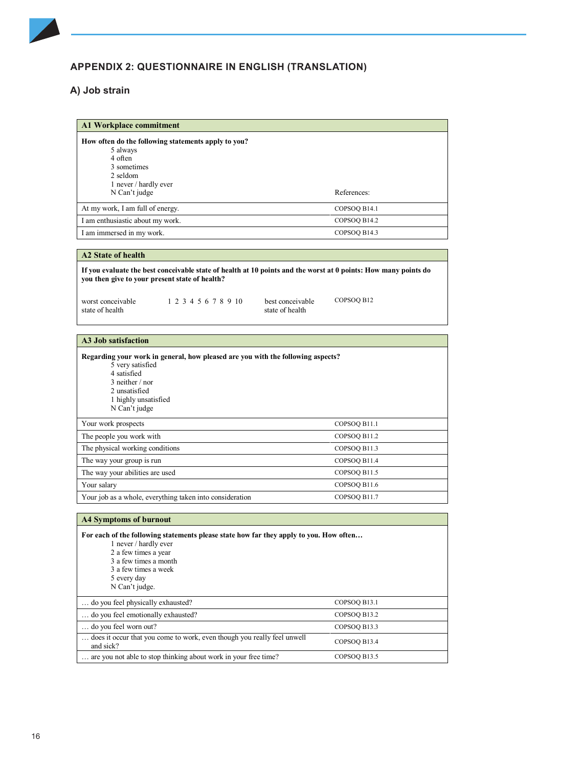

# **APPENDIX 2: QUESTIONNAIRE IN ENGLISH (TRANSLATION)**

#### **A) Job strain Appendix 2: Questionnaire in English (Translation)**

| <b>A1 Workplace commitment</b>                      |              |
|-----------------------------------------------------|--------------|
| How often do the following statements apply to you? |              |
| 5 always                                            |              |
| 4 often                                             |              |
| 3 sometimes                                         |              |
| 2 seldom                                            |              |
| 1 never / hardly ever                               |              |
| N Can't judge                                       | References:  |
| At my work, I am full of energy.                    | COPSOQ B14.1 |
| I am enthusiastic about my work.                    | COPSOO B14.2 |
| I am immersed in my work.                           | COPSOQ B14.3 |

| A <sub>2</sub> State of health |  |
|--------------------------------|--|
|--------------------------------|--|

**If you evaluate the best conceivable state of health at 10 points and the worst at 0 points: How many points do you then give to your present state of health?** 

worst conceivable 1 2 3 4 5 6 7 8 9 10 best conceivable<br>state of health state of health

**A3 Job satisfaction**

- 
- state of health COPSOQ B12

| Regarding your work in general, how pleased are you with the following aspects?<br>5 very satisfied<br>4 satisfied<br>$3$ neither $/$ nor<br>2 unsatisfied<br>1 highly unsatisfied<br>N Can't judge |              |
|-----------------------------------------------------------------------------------------------------------------------------------------------------------------------------------------------------|--------------|
| Your work prospects                                                                                                                                                                                 | COPSOQ B11.1 |
| The people you work with                                                                                                                                                                            | COPSOQ B11.2 |
| The physical working conditions                                                                                                                                                                     | COPSOQ B11.3 |
| The way your group is run                                                                                                                                                                           | COPSOQ B11.4 |
| The way your abilities are used                                                                                                                                                                     | COPSOQ B11.5 |
| Your salary                                                                                                                                                                                         | COPSOQ B11.6 |
| Your job as a whole, everything taken into consideration                                                                                                                                            | COPSOQ B11.7 |

| <b>A4 Symptoms of burnout</b>                                                                                                                                                                                             |              |
|---------------------------------------------------------------------------------------------------------------------------------------------------------------------------------------------------------------------------|--------------|
| For each of the following statements please state how far they apply to you. How often<br>1 never / hardly ever<br>2 a few times a year<br>3 a few times a month<br>3 a few times a week<br>5 every day<br>N Can't judge. |              |
| do you feel physically exhausted?                                                                                                                                                                                         | COPSOQ B13.1 |
| do you feel emotionally exhausted?                                                                                                                                                                                        | COPSOQ B13.2 |
| do you feel worn out?                                                                                                                                                                                                     | COPSOQ B13.3 |
| does it occur that you come to work, even though you really feel unwell<br>and sick?                                                                                                                                      | COPSOQ B13.4 |
| are you not able to stop thinking about work in your free time?                                                                                                                                                           | COPSOO B13.5 |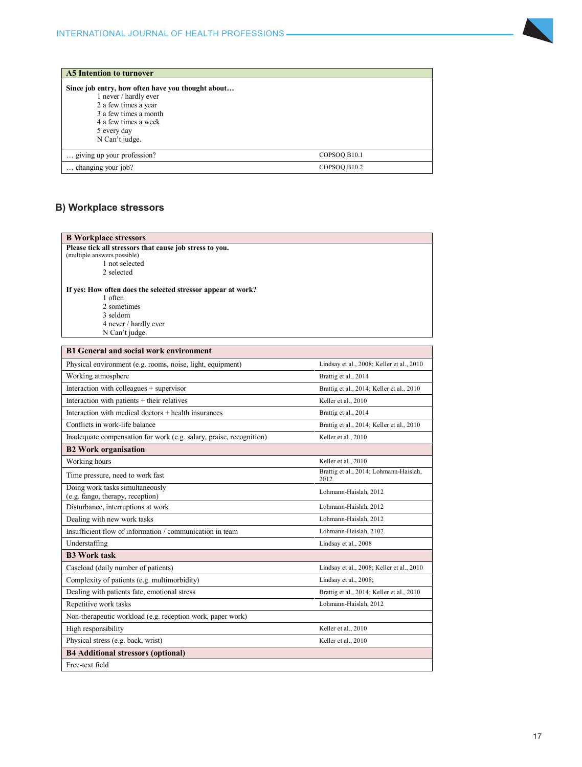

| <b>A5 Intention to turnover</b>                                                                    |              |
|----------------------------------------------------------------------------------------------------|--------------|
| Since job entry, how often have you thought about<br>1 never / hardly ever<br>2 a few times a year |              |
| 3 a few times a month<br>4 a few times a week<br>5 every day                                       |              |
| N Can't judge.                                                                                     |              |
| giving up your profession?                                                                         | COPSOQ B10.1 |
| changing your job?                                                                                 | COPSOQ B10.2 |

# **B Workplace stressors B) Workplace stressors**

| <b>B</b> Workplace stressors                                           |                                                |
|------------------------------------------------------------------------|------------------------------------------------|
| Please tick all stressors that cause job stress to you.                |                                                |
| (multiple answers possible)<br>1 not selected                          |                                                |
| 2 selected                                                             |                                                |
|                                                                        |                                                |
| If yes: How often does the selected stressor appear at work?           |                                                |
| 1 often<br>2 sometimes                                                 |                                                |
| 3 seldom                                                               |                                                |
| 4 never / hardly ever                                                  |                                                |
| N Can't judge.                                                         |                                                |
| <b>B1 General and social work environment</b>                          |                                                |
| Physical environment (e.g. rooms, noise, light, equipment)             | Lindsay et al., 2008; Keller et al., 2010      |
| Working atmosphere                                                     | Brattig et al., 2014                           |
| Interaction with colleagues + supervisor                               | Brattig et al., 2014; Keller et al., 2010      |
| Interaction with patients + their relatives                            | Keller et al., 2010                            |
| Interaction with medical doctors + health insurances                   | Brattig et al., 2014                           |
| Conflicts in work-life balance                                         | Brattig et al., 2014; Keller et al., 2010      |
| Inadequate compensation for work (e.g. salary, praise, recognition)    | Keller et al., 2010                            |
| <b>B2 Work organisation</b>                                            |                                                |
| Working hours                                                          | Keller et al., 2010                            |
| Time pressure, need to work fast                                       | Brattig et al., 2014; Lohmann-Haislah,<br>2012 |
| Doing work tasks simultaneously                                        | Lohmann-Haislah, 2012                          |
| (e.g. fango, therapy, reception)<br>Disturbance, interruptions at work | Lohmann-Haislah, 2012                          |
|                                                                        |                                                |
| Dealing with new work tasks                                            | Lohmann-Haislah, 2012                          |
| Insufficient flow of information / communication in team               | Lohmann-Heislah, 2102                          |
| Understaffing                                                          | Lindsay et al., 2008                           |
| <b>B3 Work task</b>                                                    |                                                |
| Caseload (daily number of patients)                                    | Lindsay et al., 2008; Keller et al., 2010      |
| Complexity of patients (e.g. multimorbidity)                           | Lindsay et al., 2008;                          |
| Dealing with patients fate, emotional stress                           | Brattig et al., 2014; Keller et al., 2010      |
| Repetitive work tasks                                                  | Lohmann-Haislah, 2012                          |
| Non-therapeutic workload (e.g. reception work, paper work)             |                                                |
| High responsibility                                                    | Keller et al., 2010                            |
| Physical stress (e.g. back, wrist)                                     | Keller et al., 2010                            |
| <b>B4</b> Additional stressors (optional)                              |                                                |
| Free-text field                                                        |                                                |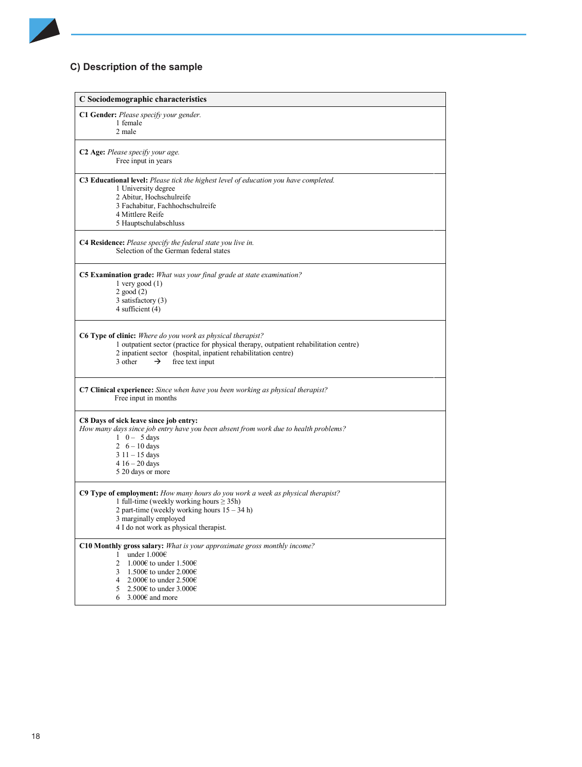# **C) Description of the sample C) Description of the sample**

| C Sociodemographic characteristics                                                                                                                                                                                                                                                                                                            |
|-----------------------------------------------------------------------------------------------------------------------------------------------------------------------------------------------------------------------------------------------------------------------------------------------------------------------------------------------|
| <b>C1 Gender:</b> Please specify your gender.<br>1 female<br>2 male                                                                                                                                                                                                                                                                           |
| C <sub>2</sub> Age: Please specify your age.<br>Free input in years                                                                                                                                                                                                                                                                           |
| <b>C3 Educational level:</b> Please tick the highest level of education you have completed.<br>1 University degree<br>2 Abitur, Hochschulreife<br>3 Fachabitur, Fachhochschulreife<br>4 Mittlere Reife<br>5 Hauptschulabschluss                                                                                                               |
| <b>C4 Residence:</b> Please specify the federal state you live in.<br>Selection of the German federal states                                                                                                                                                                                                                                  |
| <b>C5 Examination grade:</b> What was your final grade at state examination?<br>$1$ very good $(1)$<br>$2 \text{ good} (2)$<br>3 satisfactory (3)<br>4 sufficient (4)                                                                                                                                                                         |
| C6 Type of clinic: Where do you work as physical therapist?<br>1 outpatient sector (practice for physical therapy, outpatient rehabilitation centre)<br>2 inpatient sector (hospital, inpatient rehabilitation centre)<br>3 other<br>→<br>free text input                                                                                     |
| <b>C7 Clinical experience:</b> Since when have you been working as physical therapist?<br>Free input in months                                                                                                                                                                                                                                |
| C8 Days of sick leave since job entry:<br>How many days since job entry have you been absent from work due to health problems?<br>$1 \quad 0 - 5$ days<br>2 $6 - 10$ days<br>3 11 – 15 days<br>$416 - 20$ days<br>5 20 days or more                                                                                                           |
| <b>C9 Type of employment:</b> How many hours do you work a week as physical therapist?<br>1 full-time (weekly working hours $\geq$ 35h)<br>2 part-time (weekly working hours $15 - 34$ h)<br>3 marginally employed<br>4 I do not work as physical therapist.                                                                                  |
| C10 Monthly gross salary: What is your approximate gross monthly income?<br>under $1.000 \in$<br>1.<br>2<br>1.000 $\epsilon$ to under 1.500 $\epsilon$<br>1.500 $\epsilon$ to under 2.000 $\epsilon$<br>3<br>4 2.000 $\epsilon$ to under 2.500 $\epsilon$<br>2.500 $\epsilon$ to under 3.000 $\epsilon$<br>5<br>$3.000\epsilon$ and more<br>6 |